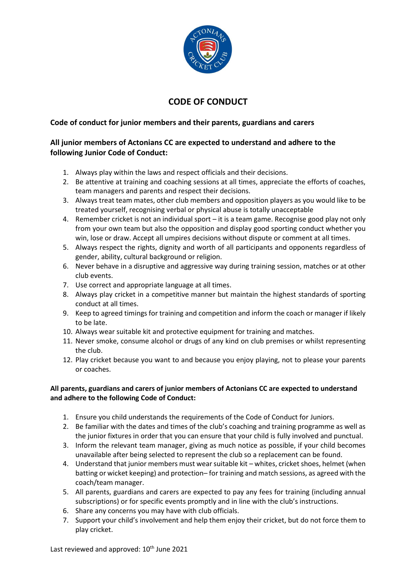

## **CODE OF CONDUCT**

## **Code of conduct for junior members and their parents, guardians and carers**

## **All junior members of Actonians CC are expected to understand and adhere to the following Junior Code of Conduct:**

- 1. Always play within the laws and respect officials and their decisions.
- 2. Be attentive at training and coaching sessions at all times, appreciate the efforts of coaches, team managers and parents and respect their decisions.
- 3. Always treat team mates, other club members and opposition players as you would like to be treated yourself, recognising verbal or physical abuse is totally unacceptable
- 4. Remember cricket is not an individual sport it is a team game. Recognise good play not only from your own team but also the opposition and display good sporting conduct whether you win, lose or draw. Accept all umpires decisions without dispute or comment at all times.
- 5. Always respect the rights, dignity and worth of all participants and opponents regardless of gender, ability, cultural background or religion.
- 6. Never behave in a disruptive and aggressive way during training session, matches or at other club events.
- 7. Use correct and appropriate language at all times.
- 8. Always play cricket in a competitive manner but maintain the highest standards of sporting conduct at all times.
- 9. Keep to agreed timings for training and competition and inform the coach or manager if likely to be late.
- 10. Always wear suitable kit and protective equipment for training and matches.
- 11. Never smoke, consume alcohol or drugs of any kind on club premises or whilst representing the club.
- 12. Play cricket because you want to and because you enjoy playing, not to please your parents or coaches.

## **All parents, guardians and carers of junior members of Actonians CC are expected to understand and adhere to the following Code of Conduct:**

- 1. Ensure you child understands the requirements of the Code of Conduct for Juniors.
- 2. Be familiar with the dates and times of the club's coaching and training programme as well as the junior fixtures in order that you can ensure that your child is fully involved and punctual.
- 3. Inform the relevant team manager, giving as much notice as possible, if your child becomes unavailable after being selected to represent the club so a replacement can be found.
- 4. Understand that junior members must wear suitable kit whites, cricket shoes, helmet (when batting or wicket keeping) and protection– for training and match sessions, as agreed with the coach/team manager.
- 5. All parents, guardians and carers are expected to pay any fees for training (including annual subscriptions) or for specific events promptly and in line with the club's instructions.
- 6. Share any concerns you may have with club officials.
- 7. Support your child's involvement and help them enjoy their cricket, but do not force them to play cricket.

Last reviewed and approved: 10<sup>th</sup> June 2021